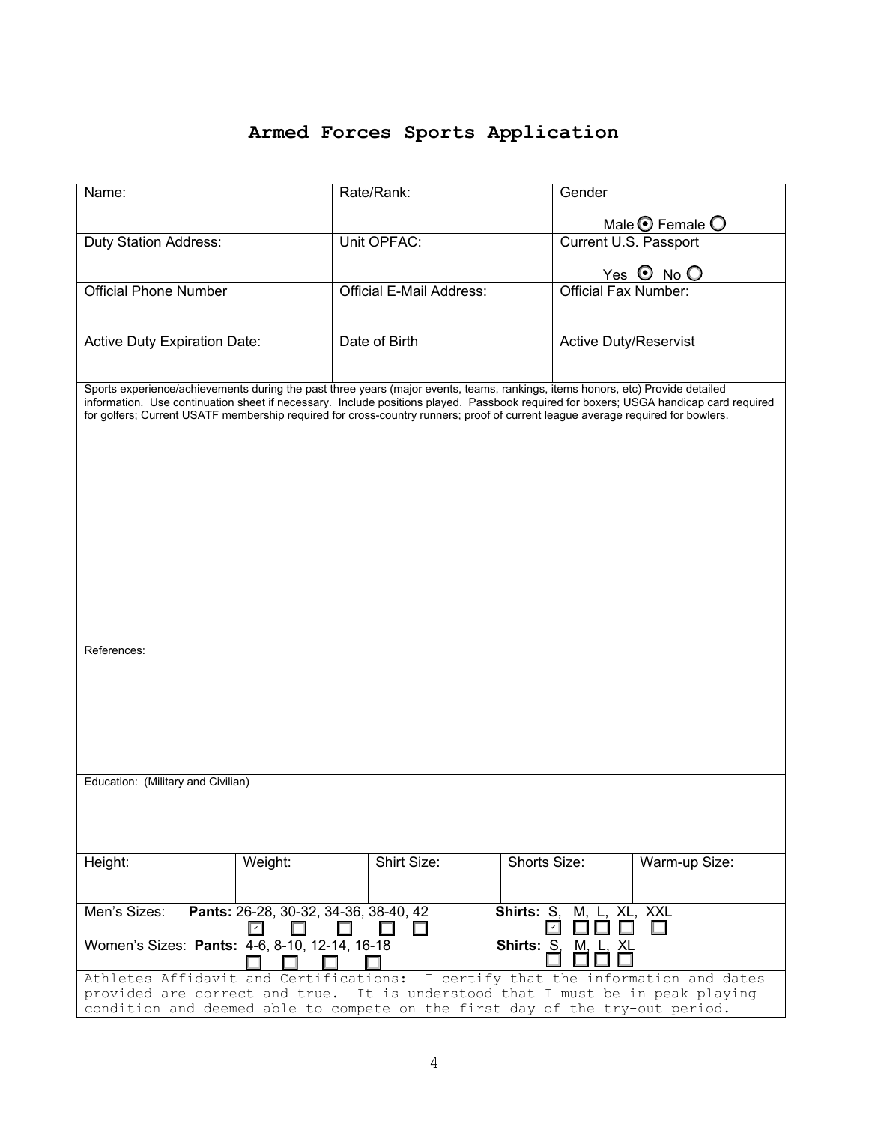## **Armed Forces Sports Application**

| Name:                                                                                                                                                                                                                                                                    |         | Rate/Rank:                      | Gender                       |                             |  |
|--------------------------------------------------------------------------------------------------------------------------------------------------------------------------------------------------------------------------------------------------------------------------|---------|---------------------------------|------------------------------|-----------------------------|--|
|                                                                                                                                                                                                                                                                          |         |                                 |                              |                             |  |
| Duty Station Address:                                                                                                                                                                                                                                                    |         | Unit OPFAC:                     | Current U.S. Passport        | Male $\odot$ Female $\odot$ |  |
|                                                                                                                                                                                                                                                                          |         |                                 |                              |                             |  |
|                                                                                                                                                                                                                                                                          |         |                                 |                              | Yes $\odot$ No $\odot$      |  |
| <b>Official Phone Number</b>                                                                                                                                                                                                                                             |         | <b>Official E-Mail Address:</b> | <b>Official Fax Number:</b>  |                             |  |
|                                                                                                                                                                                                                                                                          |         |                                 |                              |                             |  |
| <b>Active Duty Expiration Date:</b>                                                                                                                                                                                                                                      |         | Date of Birth                   | <b>Active Duty/Reservist</b> |                             |  |
|                                                                                                                                                                                                                                                                          |         |                                 |                              |                             |  |
|                                                                                                                                                                                                                                                                          |         |                                 |                              |                             |  |
| Sports experience/achievements during the past three years (major events, teams, rankings, items honors, etc) Provide detailed                                                                                                                                           |         |                                 |                              |                             |  |
| information. Use continuation sheet if necessary. Include positions played. Passbook required for boxers; USGA handicap card required<br>for golfers; Current USATF membership required for cross-country runners; proof of current league average required for bowlers. |         |                                 |                              |                             |  |
|                                                                                                                                                                                                                                                                          |         |                                 |                              |                             |  |
|                                                                                                                                                                                                                                                                          |         |                                 |                              |                             |  |
|                                                                                                                                                                                                                                                                          |         |                                 |                              |                             |  |
|                                                                                                                                                                                                                                                                          |         |                                 |                              |                             |  |
|                                                                                                                                                                                                                                                                          |         |                                 |                              |                             |  |
|                                                                                                                                                                                                                                                                          |         |                                 |                              |                             |  |
|                                                                                                                                                                                                                                                                          |         |                                 |                              |                             |  |
|                                                                                                                                                                                                                                                                          |         |                                 |                              |                             |  |
|                                                                                                                                                                                                                                                                          |         |                                 |                              |                             |  |
|                                                                                                                                                                                                                                                                          |         |                                 |                              |                             |  |
|                                                                                                                                                                                                                                                                          |         |                                 |                              |                             |  |
|                                                                                                                                                                                                                                                                          |         |                                 |                              |                             |  |
| References:                                                                                                                                                                                                                                                              |         |                                 |                              |                             |  |
|                                                                                                                                                                                                                                                                          |         |                                 |                              |                             |  |
|                                                                                                                                                                                                                                                                          |         |                                 |                              |                             |  |
|                                                                                                                                                                                                                                                                          |         |                                 |                              |                             |  |
|                                                                                                                                                                                                                                                                          |         |                                 |                              |                             |  |
|                                                                                                                                                                                                                                                                          |         |                                 |                              |                             |  |
|                                                                                                                                                                                                                                                                          |         |                                 |                              |                             |  |
| Education: (Military and Civilian)                                                                                                                                                                                                                                       |         |                                 |                              |                             |  |
|                                                                                                                                                                                                                                                                          |         |                                 |                              |                             |  |
|                                                                                                                                                                                                                                                                          |         |                                 |                              |                             |  |
|                                                                                                                                                                                                                                                                          |         |                                 |                              |                             |  |
| Height:                                                                                                                                                                                                                                                                  | Weight: | Shirt Size:                     | Shorts Size:                 | Warm-up Size:               |  |
|                                                                                                                                                                                                                                                                          |         |                                 |                              |                             |  |
| Men's Sizes:                                                                                                                                                                                                                                                             |         |                                 |                              |                             |  |
| Pants: 26-28, 30-32, 34-36, 38-40, 42<br>M, L, XL, XXL<br><b>Shirts: S.</b><br>$\overline{\phantom{0}}$<br>П<br>$\vert\,$                                                                                                                                                |         |                                 |                              |                             |  |
| Women's Sizes: Pants: 4-6, 8-10, 12-14, 16-18<br>Shirts: S.<br><u>XL</u><br>M,                                                                                                                                                                                           |         |                                 |                              |                             |  |
|                                                                                                                                                                                                                                                                          |         |                                 |                              |                             |  |
| Athletes Affidavit and Certifications: I certify that the information and dates                                                                                                                                                                                          |         |                                 |                              |                             |  |
| provided are correct and true. It is understood that I must be in peak playing                                                                                                                                                                                           |         |                                 |                              |                             |  |
| condition and deemed able to compete on the first day of the try-out period.                                                                                                                                                                                             |         |                                 |                              |                             |  |